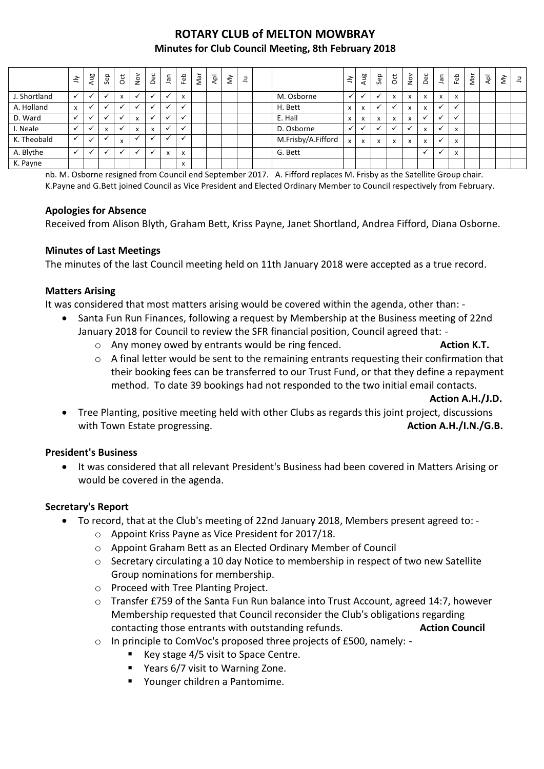# **ROTARY CLUB of MELTON MOWBRAY Minutes for Club Council Meeting, 8th February 2018**

|              | $\leq$           | Aug          | Sep          | $_{\rm{ot}}$ | $\frac{5}{2}$ | Dec                       | nal | Feb                       | Νār | ldy | $\check{\varepsilon}$ | Ξ |                    | $\leq$       | Aug | Sep                       | $\overline{5}$ | $\sum_{i=1}^{\infty}$    | Dec                      | Jan            | Feb                       | Nar | Αpl | $\check{\varepsilon}$ | 크 |
|--------------|------------------|--------------|--------------|--------------|---------------|---------------------------|-----|---------------------------|-----|-----|-----------------------|---|--------------------|--------------|-----|---------------------------|----------------|--------------------------|--------------------------|----------------|---------------------------|-----|-----|-----------------------|---|
| J. Shortland |                  |              |              | X            |               |                           |     | x                         |     |     |                       |   | M. Osborne         | $\checkmark$ |     |                           | X              | x                        | x                        | $\mathsf{x}$   | $\boldsymbol{\mathsf{x}}$ |     |     |                       |   |
| A. Holland   | $\boldsymbol{x}$ |              |              |              |               |                           |     |                           |     |     |                       |   | H. Bett            | $\mathsf{x}$ | x   |                           |                | $\overline{\phantom{a}}$ | $\overline{\phantom{a}}$ | $\checkmark$   |                           |     |     |                       |   |
| D. Ward      |                  |              |              |              | x             |                           |     |                           |     |     |                       |   | E. Hall            | x            | x   | $\boldsymbol{\mathsf{x}}$ | X              | $\mathbf{v}$             |                          | $\overline{a}$ |                           |     |     |                       |   |
| I. Neale     |                  | $\checkmark$ | $\mathbf{v}$ |              | X             | $\mathbf{v}$<br>$\lambda$ |     |                           |     |     |                       |   | D. Osborne         | $\checkmark$ | ✓   | $\ddot{\phantom{0}}$      |                |                          | $\overline{\phantom{a}}$ | $\mathbf{v}$   | X                         |     |     |                       |   |
| K. Theobald  |                  |              |              | X            |               |                           |     |                           |     |     |                       |   | M.Frisby/A.Fifford | $\mathsf{x}$ | x   | $\boldsymbol{\mathsf{x}}$ | X              | X                        | X                        | $\checkmark$   | X                         |     |     |                       |   |
| A. Blythe    |                  |              |              |              |               |                           | x   | x                         |     |     |                       |   | G. Bett            |              |     |                           |                |                          |                          | $\mathbf{v}$   | $\boldsymbol{\mathsf{x}}$ |     |     |                       |   |
| K. Payne     |                  |              |              |              |               |                           |     | $\mathbf{v}$<br>$\lambda$ |     |     |                       |   |                    |              |     |                           |                |                          |                          |                |                           |     |     |                       |   |

nb. M. Osborne resigned from Council end September 2017. A. Fifford replaces M. Frisby as the Satellite Group chair. K.Payne and G.Bett joined Council as Vice President and Elected Ordinary Member to Council respectively from February.

#### **Apologies for Absence**

Received from Alison Blyth, Graham Bett, Kriss Payne, Janet Shortland, Andrea Fifford, Diana Osborne.

#### **Minutes of Last Meetings**

The minutes of the last Council meeting held on 11th January 2018 were accepted as a true record.

#### **Matters Arising**

It was considered that most matters arising would be covered within the agenda, other than: -

- Santa Fun Run Finances, following a request by Membership at the Business meeting of 22nd January 2018 for Council to review the SFR financial position, Council agreed that:
	- o Any money owed by entrants would be ring fenced. **Action K.T.**
	- $\circ$  A final letter would be sent to the remaining entrants requesting their confirmation that their booking fees can be transferred to our Trust Fund, or that they define a repayment method. To date 39 bookings had not responded to the two initial email contacts.

**Action A.H./J.D.**

 Tree Planting, positive meeting held with other Clubs as regards this joint project, discussions with Town Estate progressing. **Action A.H./I.N./G.B. Action A.H./I.N./G.B.** 

#### **President's Business**

 It was considered that all relevant President's Business had been covered in Matters Arising or would be covered in the agenda.

#### **Secretary's Report**

- To record, that at the Club's meeting of 22nd January 2018, Members present agreed to:
	- o Appoint Kriss Payne as Vice President for 2017/18.
	- o Appoint Graham Bett as an Elected Ordinary Member of Council
	- o Secretary circulating a 10 day Notice to membership in respect of two new Satellite Group nominations for membership.
	- o Proceed with Tree Planting Project.
	- o Transfer £759 of the Santa Fun Run balance into Trust Account, agreed 14:7, however Membership requested that Council reconsider the Club's obligations regarding contacting those entrants with outstanding refunds. **Action Council**
	- o In principle to ComVoc's proposed three projects of £500, namely:
		- Key stage 4/5 visit to Space Centre.
		- Years 6/7 visit to Warning Zone.
		- Younger children a Pantomime.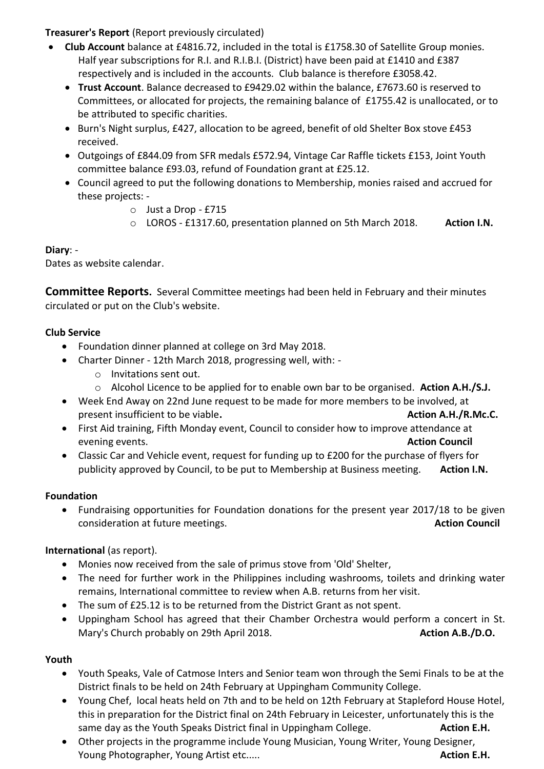### **Treasurer's Report** (Report previously circulated)

- **Club Account** balance at £4816.72, included in the total is £1758.30 of Satellite Group monies. Half year subscriptions for R.I. and R.I.B.I. (District) have been paid at £1410 and £387 respectively and is included in the accounts. Club balance is therefore £3058.42.
	- **Trust Account**. Balance decreased to £9429.02 within the balance, £7673.60 is reserved to Committees, or allocated for projects, the remaining balance of £1755.42 is unallocated, or to be attributed to specific charities.
	- Burn's Night surplus, £427, allocation to be agreed, benefit of old Shelter Box stove £453 received.
	- Outgoings of £844.09 from SFR medals £572.94, Vintage Car Raffle tickets £153, Joint Youth committee balance £93.03, refund of Foundation grant at £25.12.
	- Council agreed to put the following donations to Membership, monies raised and accrued for these projects:
		- o Just a Drop £715
		- o LOROS £1317.60, presentation planned on 5th March 2018. **Action I.N.**

## **Diary**: -

Dates as website calendar.

**Committee Reports.** Several Committee meetings had been held in February and their minutes circulated or put on the Club's website.

## **Club Service**

- Foundation dinner planned at college on 3rd May 2018.
- Charter Dinner 12th March 2018, progressing well, with:
	- o Invitations sent out.
	- o Alcohol Licence to be applied for to enable own bar to be organised. **Action A.H./S.J.**
- Week End Away on 22nd June request to be made for more members to be involved, at present insufficient to be viable. Action A.H./R.Mc.C.
- First Aid training, Fifth Monday event, Council to consider how to improve attendance at evening events. **Action Council** events.
- Classic Car and Vehicle event, request for funding up to £200 for the purchase of flyers for publicity approved by Council, to be put to Membership at Business meeting. **Action I.N.**

### **Foundation**

 Fundraising opportunities for Foundation donations for the present year 2017/18 to be given consideration at future meetings. **Action Council Action Council Action Council** 

# **International** (as report).

- Monies now received from the sale of primus stove from 'Old' Shelter,
- The need for further work in the Philippines including washrooms, toilets and drinking water remains, International committee to review when A.B. returns from her visit.
- The sum of £25.12 is to be returned from the District Grant as not spent.
- Uppingham School has agreed that their Chamber Orchestra would perform a concert in St. Mary's Church probably on 29th April 2018. **Action A.B./D.O. Action A.B./D.O.**

# **Youth**

- Youth Speaks, Vale of Catmose Inters and Senior team won through the Semi Finals to be at the District finals to be held on 24th February at Uppingham Community College.
- Young Chef, local heats held on 7th and to be held on 12th February at Stapleford House Hotel, this in preparation for the District final on 24th February in Leicester, unfortunately this is the same day as the Youth Speaks District final in Uppingham College. **Action E.H. Action E.H.**
- Other projects in the programme include Young Musician, Young Writer, Young Designer, Young Photographer, Young Artist etc..... **Action E.H. Action E.H. Action E.H.**